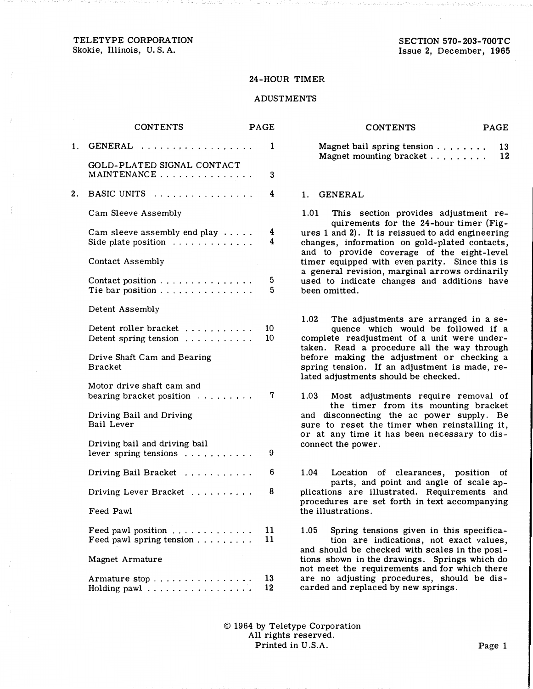TELETYPE CORPORATION Skokie, Illinois, U.S. A.

SECTION 570-203-700TC Issue 2, December, 1965

## 24-HOUR TIMER

## ADUSTMENTS

|    | <b>CONTENTS</b>                                                                           | <b>PAGE</b> |
|----|-------------------------------------------------------------------------------------------|-------------|
| 1. | GENERAL                                                                                   | 1           |
|    | GOLD-PLATED SIGNAL CONTACT<br>MAINTENANCE                                                 | 3           |
| 2. | BASIC UNITS                                                                               | 4           |
|    | Cam Sleeve Assembly                                                                       |             |
|    | Cam sleeve assembly end play $\dots$<br>Side plate position $\ldots \ldots \ldots \ldots$ | 4<br>4      |
|    | Contact Assembly                                                                          |             |
|    | Contact position<br>Tie bar position                                                      | 5<br>5      |
|    | Detent Assembly                                                                           |             |
|    | Detent roller bracket<br>Detent spring tension $\ldots \ldots \ldots$                     | 10<br>10    |
|    | Drive Shaft Cam and Bearing<br>Bracket                                                    |             |
|    | Motor drive shaft cam and<br>bearing bracket position                                     | 7           |
|    | Driving Bail and Driving<br><b>Bail Lever</b>                                             |             |
|    | Driving bail and driving bail<br>lever spring tensions $\ldots \ldots \ldots$             | 9           |
|    | Driving Bail Bracket                                                                      | 6           |
|    | Driving Lever Bracket                                                                     | 8           |
|    | Feed Pawl                                                                                 |             |
|    | Feed pawl position $\cdots \cdots$<br>Feed pawl spring tension $\cdots$                   | 11<br>11    |
|    | Magnet Armature                                                                           |             |
|    | Armature stop<br>Holding pawl $\ldots \ldots \ldots \ldots$                               | 13<br>12    |

| <b>CONTENTS</b>                            | <b>PAGE</b> |
|--------------------------------------------|-------------|
| Magnet bail spring tension $\ldots \ldots$ | -13         |
| Magnet mounting bracket $\ldots \ldots$    | 12          |

## 1. GENERAL

1.01 This section provides adjustment requirements for the 24-hour timer (Figures 1 and 2). It is reissued to add engineering changes, information on gold-plated contacts, and to provide coverage of the eight-level timer equipped with even parity. Since this is a general revision, marginal arrows ordinarily used to indicate changes and additions have been omitted.

1.02 The adjustments are arranged in a sequence which would be followed if a complete readjustment of a unit were undertaken. Read a procedure all the way through before making the adjustment or checking a spring tension. If an adjustment is made, related adjustments should be checked.

1.03 Most adjustments require removal of the timer from its mounting bracket and disconnecting the ac power supply. Be sure to reset the timer when reinstalling it, or at any time it has been necessary to disconnect the power.

1.04 Location of clearances, position of parts, and point and angle of scale applications are illustrated. Requirements and procedures are set forth in text accompanying the illustrations.

1.05 Spring tensions given in this specifica-· tion are indications, not exact values, and should be checked with scales in the positions shown in the drawings. Springs which do not meet the requirements and for which there are no adjusting procedures, should be discarded and replaced by new springs.

© 1964 by Teletype Corporation All rights reserved. Printed in U.S.A. Page 1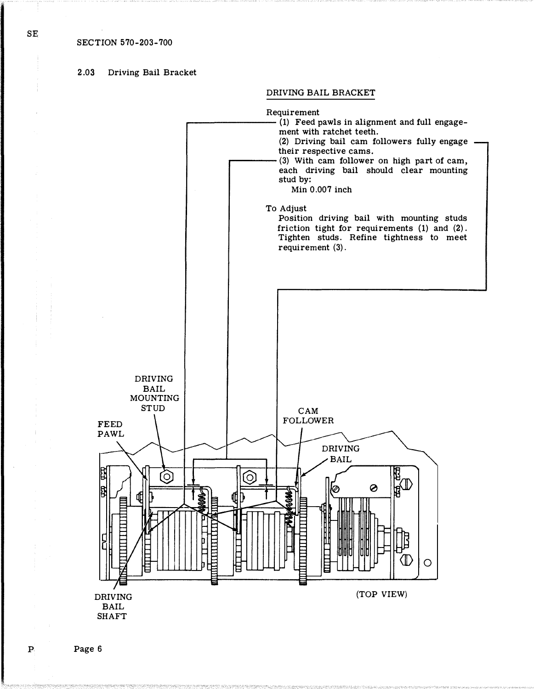# 2.03 Driving Bail Bracket

DRIVING BAIL BRACKET



 $SE$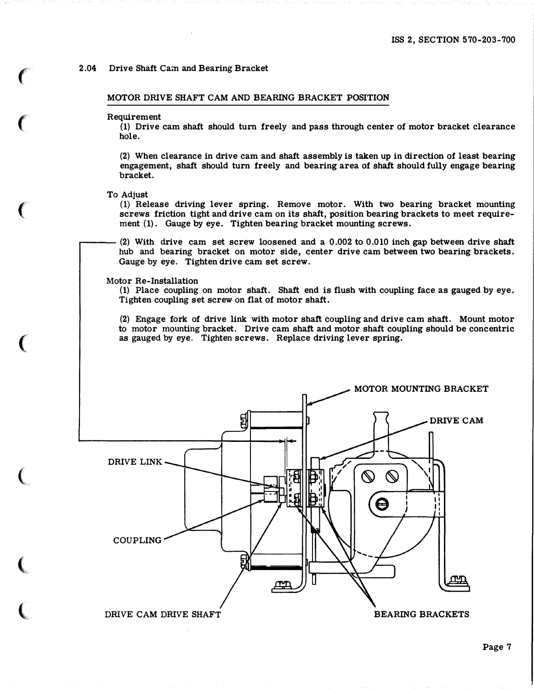## 2.04 Drive Shaft Cam and Bearing Bracket

MOTOR DRIVE SHAFT CAM AND BEARING BRACKET POSITION

#### Requirement

 $\epsilon$ 

 $\epsilon$ 

 $\big($ 

 $\big($ 

(

 $\big($ 

 $\big($ 

{1) Drive cam shaft should turn freely and pass through center of motor bracket clearance hole.

(2) When clearance in drive cam and shaft assembly is taken up in direction of least bearing engagement, shaft should turn freely and bearing area of shaft should fully engage bearing bracket.

To Adjust

.---

(1) Release driving lever spring. Remove motor. With two bearing bracket mounting screws friction tight and drive cam on its shaft, position bearing brackets to meet require ment (1). Gauge by eye. Tighten bearing bracket mounting screws .

(2) With drive cam set screw loosened and a 0.002 to 0.010 inch gap between drive shaft hub and bearing bracket on motor side, center drive cam between two bearing brackets. Gauge by eye. Tighten drive cam set screw.

## Motor Re-Installation

(1) Place coupling on motor shaft. Shaft end is flush with coupling face as gauged by eye. Tighten coupling set screw on flat of motor shaft.

(2) Engage fork of drive link with motor shaft coupling and drive cam shaft. Mount motor to motor mounting bracket. Drive cam shaft and motor shaft coupling should be concentric as gauged by eye. Tighten screws. Replace driving lever spring.

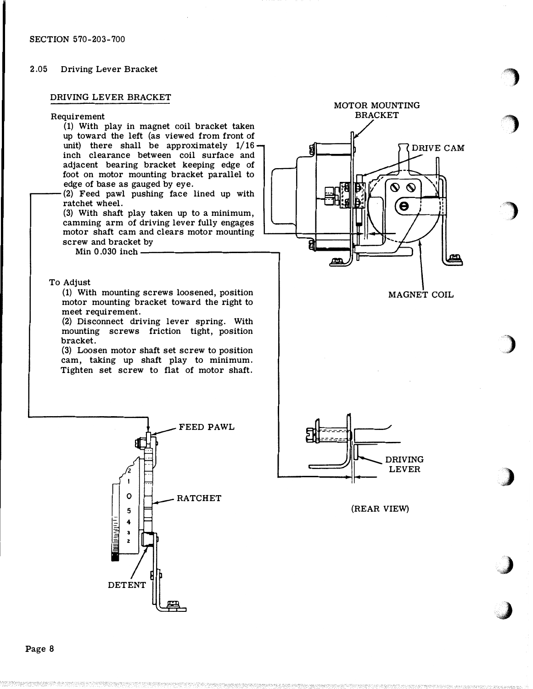## 2.05 Driving Lever Bracket

## DRIVING LEVER BRACKET



(1) With play in magnet eoil bracket taken up toward the left (as viewed from front of unit) there shall be approximately  $1/16$ . inch clearance between coil surface and adjacent bearing bracket keeping edge of foot on motor mounting bracket parallel to edge of base as gauged by eye.

(2) Feed pawl pushing face lined up with ratchet wheel.

(3) With shaft play taken up to a minimum, camming arm of driving lever fully engages motor shaft cam and clears motor mounting screw and bracket by

Min  $0.030$  inch  $-$ 

## To Adjust

r----

(1) With mounting screws loosened, position motor mounting bracket toward the right to meet requirement.

(2) Disconnect driving lever spring. With mounting screws friction tight, position bracket.

(3) Loosen motor shaft set screw to position cam, taking up shaft play to minimum. Tighten set screw to flat of motor shaft.





MOTOR MOUNTING BRACKET

> $\boldsymbol{\infty}$  $\mathcal{L}$

> > $\boldsymbol{\Theta}$

DRIVE CAM



I

(REAR VIEW)

�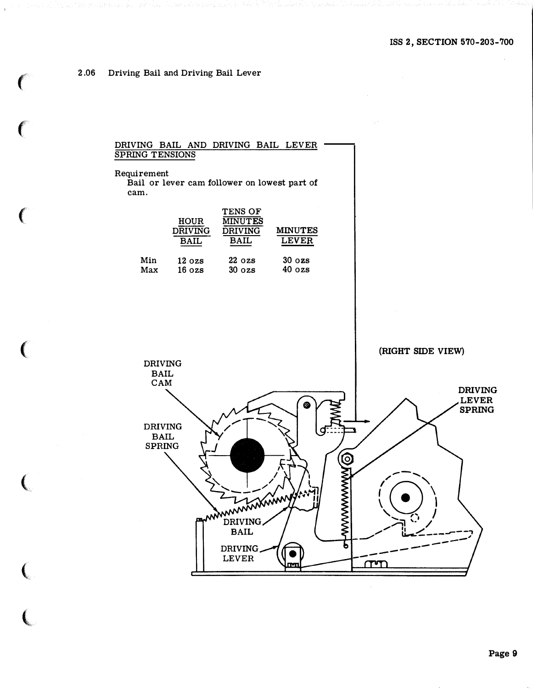#### 2.06 Driving Bail and Driving Bail Lever

## DRIVING BAIL AND DRIVING BAIL LEVER **SPRING TENSIONS**

Requirement Bail or lever cam follower on lowest part of cam.

|     | <b>HOUR</b><br><b>DRIVING</b><br>BAIL | <b>TENS OF</b><br><b>MINUTES</b><br><b>DRIVING</b><br>BAIL | <b>MINUTES</b><br><b>LEVER</b> |
|-----|---------------------------------------|------------------------------------------------------------|--------------------------------|
| Min | $12 \text{ ozs}$                      | $22 \text{ ozs}$                                           | $30 \text{ ozs}$               |
| Max | $16 \text{ ozs}$                      | $30\,\cos$                                                 | $40 \text{ ozs}$               |

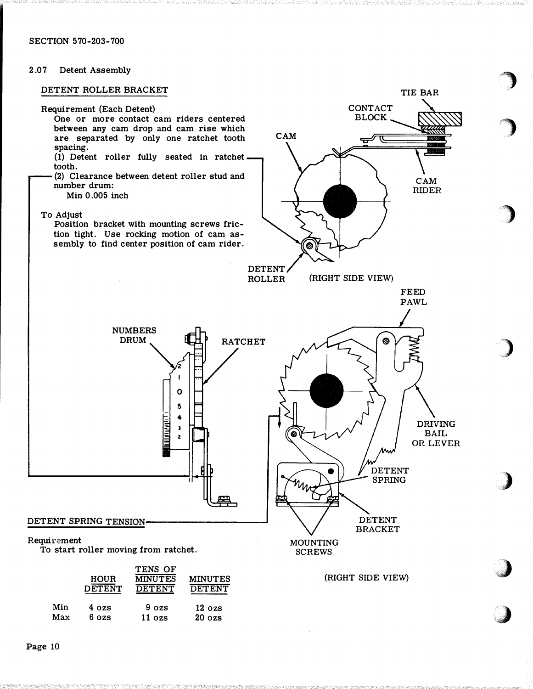SECTION 570-203-700

## 2.07 Detent Assembly

## DETENT ROLLER BRACKET



i)

0.)

/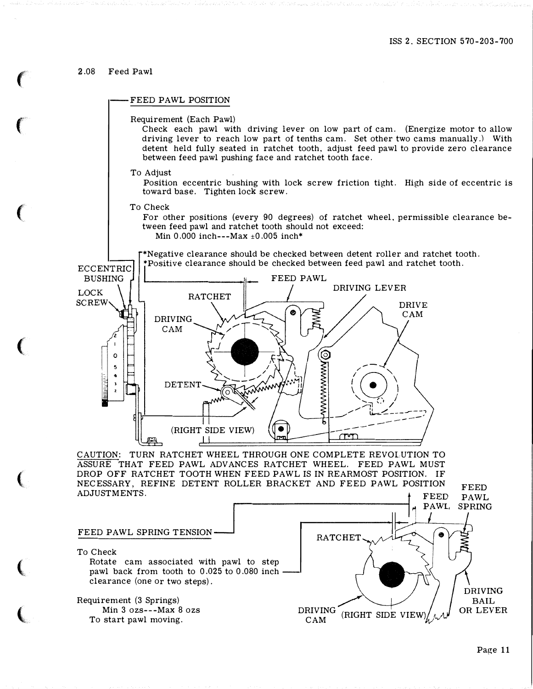## 2.08 Feed Pawl

## FEED PAWL POSITION

Requirement (Each Pawl)

Check each pawl with driving lever on low part of cam. (Energize motor to allow driving lever to reach low part of tenths cam. Set other two cams manually.) With detent held fully seated in ratchet tooth. adjust feed pawl to provide zero clearance between feed pawl pushing face and ratchet tooth face.

To Adjust

Position eccentric bushing with lock screw friction tight. High side of eccentric is toward base. Tighten lock screw.

To Check

For other positions (every 90 degrees) of ratchet wheel. permissible clearance between feed pawl and ratchet tooth should not exceed: Min 0.000 inch---Max  $\pm$ 0.005 inch\*

\*Negative clearance should be checked between detent roller and ratchet tooth.



CAUTION: TURN RATCHET WHEEL THROUGH ONE COMPLETE REVOLUTION TO ASSURE THAT FEED PAWL ADVANCES RATCHET WHEEL. FEED PAWL MUST DROP OFF RATCHET TOOTH WHEN FEED PAWL IS IN REARMOST POSITION. IF NECESSARY, REFINE DETENT ROLLER BRACKET AND FEED PAWL POSITION<br>ADJUSTMENTS.



FEED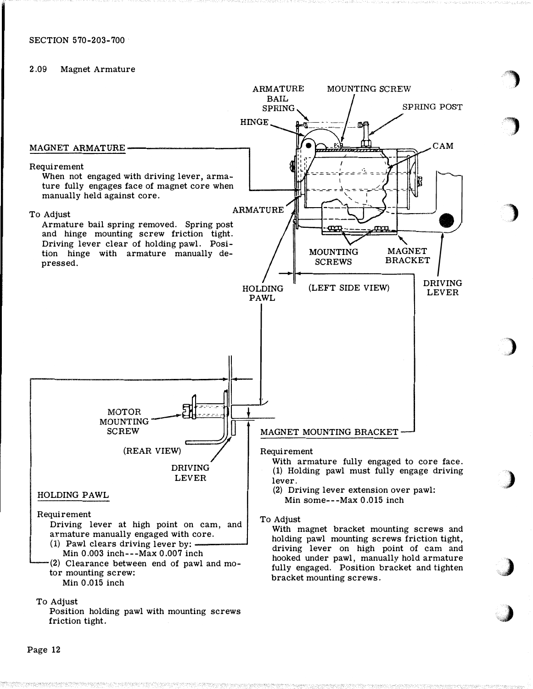# 2 .09 Magnet Armature



'")

,)

,)

.. )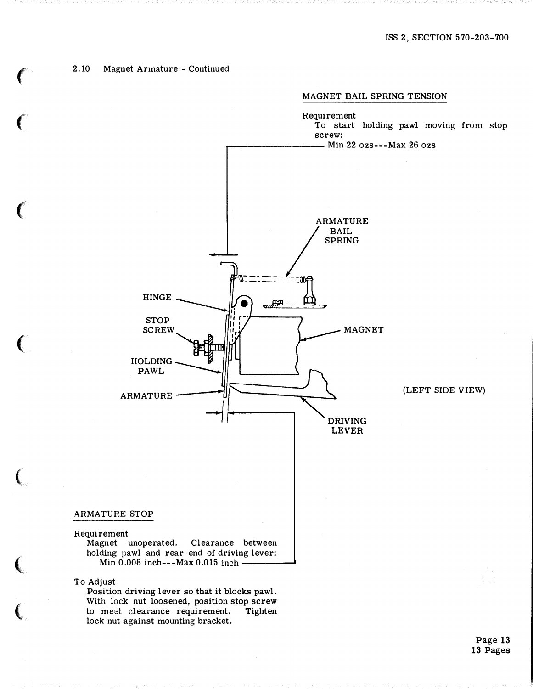## 2.10 Magnet Armature - Continued

 $\big($ 

 $\big($ 

 $\big($ 

 $\big($ 

(

 $\big($ 

l **''** 



Position driving lever so that it blocks pawl. With lock nut loosened, position stop screw to meet clearance requirement. Tighten lock nut against mounting bracket.